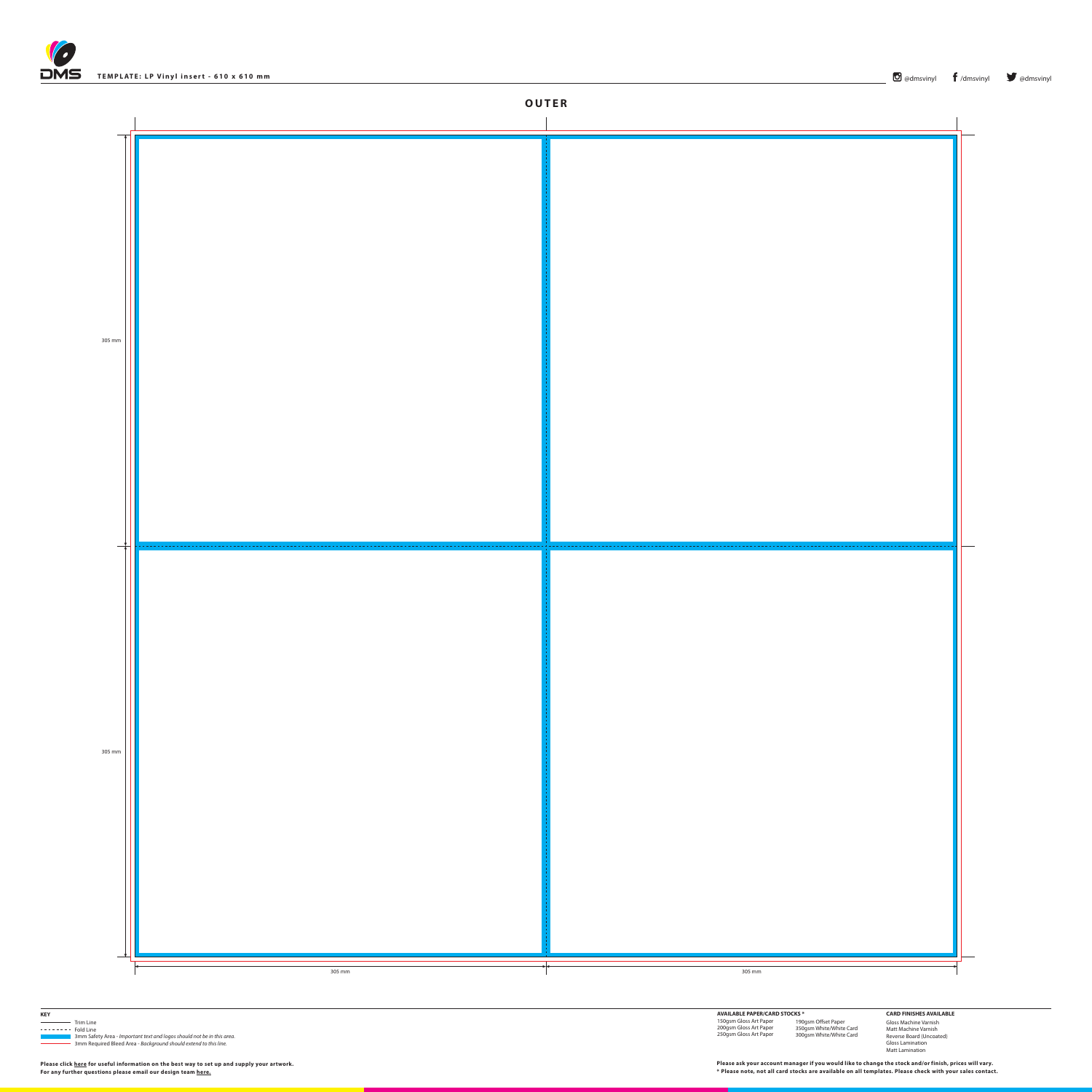





| <b>KEY</b><br>Trim Line<br>3mm Required Bleed Area - Background should extend to this line. | <b>AVAILABLE PAPER/CARD STOCKS *</b><br>150gsm Gloss Art Paper<br>200gsm Gloss Art Paper<br>250gsm Gloss Art Paper | 190gsm Offset Paper<br>350gsm White/White Card<br>300gsm White/White Card | <b>CARD FINISHES AVAILABLE</b><br>Gloss Machine Varnish<br>Matt Machine Varnish<br>Reverse Board (Uncoated)<br><b>Gloss Lamination</b><br>Matt Lamination |  |
|---------------------------------------------------------------------------------------------|--------------------------------------------------------------------------------------------------------------------|---------------------------------------------------------------------------|-----------------------------------------------------------------------------------------------------------------------------------------------------------|--|
| Please click here for useful information on the best way to set up and supply your artwork. | Please ask your account manager if you would like to change the stock and/or finish, prices will vary.             |                                                                           |                                                                                                                                                           |  |
| For any further questions please email our design team here.                                | * Please note, not all card stocks are available on all templates. Please check with your sales contact.           |                                                                           |                                                                                                                                                           |  |